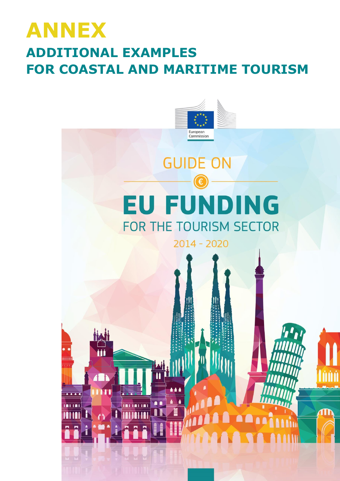# **ANNEX ADDITIONAL EXAMPLES FOR COASTAL AND MARITIME TOURISM**

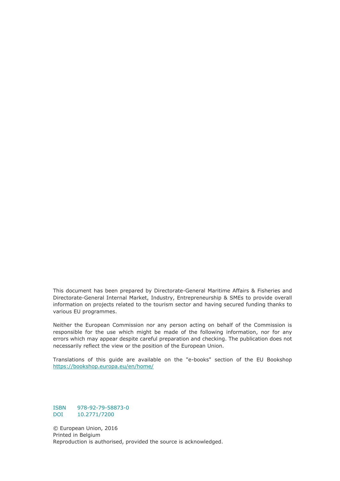This document has been prepared by Directorate-General Maritime Affairs & Fisheries and Directorate-General Internal Market, Industry, Entrepreneurship & SMEs to provide overall information on projects related to the tourism sector and having secured funding thanks to various EU programmes.

Neither the European Commission nor any person acting on behalf of the Commission is responsible for the use which might be made of the following information, nor for any errors which may appear despite careful preparation and checking. The publication does not necessarily reflect the view or the position of the European Union.

Translations of this guide are available on the "e-books" section of the EU Bookshop <https://bookshop.europa.eu/en/home/>

ISBN 978-92-79-58873-0 DOI 10.2771/7200

© European Union, 2016 Printed in Belgium Reproduction is authorised, provided the source is acknowledged.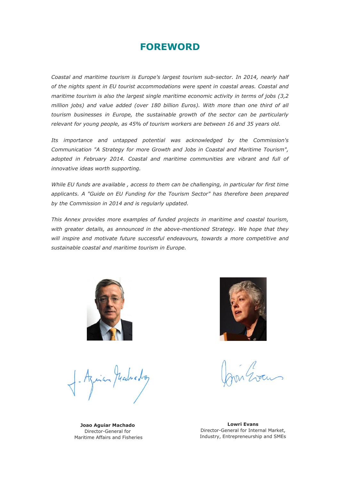## **FOREWORD**

*Coastal and maritime tourism is Europe's largest tourism sub-sector. In 2014, nearly half of the nights spent in EU tourist accommodations were spent in coastal areas. Coastal and maritime tourism is also the largest single maritime economic activity in terms of jobs (3,2 million jobs) and value added (over 180 billion Euros). With more than one third of all tourism businesses in Europe, the sustainable growth of the sector can be particularly relevant for young people, as 45% of tourism workers are between 16 and 35 years old.*

*Its importance and untapped potential was acknowledged by the Commission's Communication "A Strategy for more Growth and Jobs in Coastal and Maritime Tourism", adopted in February 2014. Coastal and maritime communities are vibrant and full of innovative ideas worth supporting.* 

*While EU funds are available , access to them can be challenging, in particular for first time applicants. A "Guide on EU Funding for the Tourism Sector" has therefore been prepared by the Commission in 2014 and is regularly updated.* 

*This Annex provides more examples of funded projects in maritime and coastal tourism, with greater details, as announced in the above-mentioned Strategy. We hope that they will inspire and motivate future successful endeavours, towards a more competitive and sustainable coastal and maritime tourism in Europe.*



inan Madredog



**Joao Aguiar Machado** Director-General for Maritime Affairs and Fisheries

**Lowri Evans** Director-General for Internal Market, Industry, Entrepreneurship and SMEs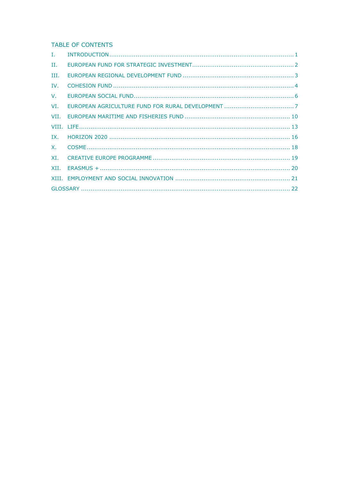**TABLE OF CONTENTS** 

| $\mathbf{I}$ , $\mathbf{I}$ |  |
|-----------------------------|--|
| П.                          |  |
| III.                        |  |
| IV.                         |  |
| V.                          |  |
| VI.                         |  |
|                             |  |
|                             |  |
|                             |  |
|                             |  |
|                             |  |
| XI.                         |  |
|                             |  |
|                             |  |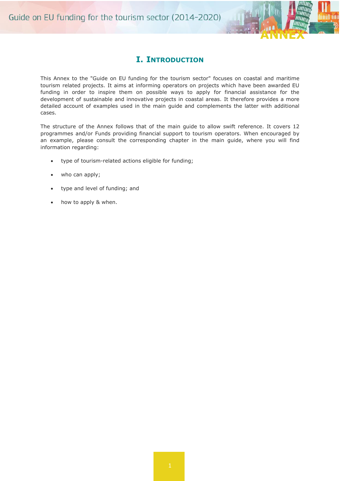

### **I. INTRODUCTION**

<span id="page-4-0"></span>This Annex to the "Guide on EU funding for the tourism sector" focuses on coastal and maritime tourism related projects. It aims at informing operators on projects which have been awarded EU funding in order to inspire them on possible ways to apply for financial assistance for the development of sustainable and innovative projects in coastal areas. It therefore provides a more detailed account of examples used in the main guide and complements the latter with additional cases.

The structure of the Annex follows that of the main guide to allow swift reference. It covers 12 programmes and/or Funds providing financial support to tourism operators. When encouraged by an example, please consult the corresponding chapter in the main guide, where you will find information regarding:

- type of tourism-related actions eligible for funding;
- who can apply;
- type and level of funding; and
- how to apply & when.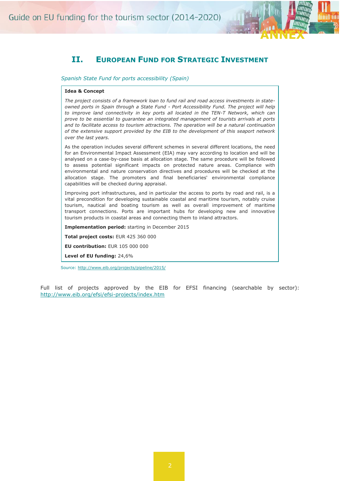

### <span id="page-5-0"></span>**II. EUROPEAN FUND FOR STRATEGIC INVESTMENT**

*Spanish State Fund for ports accessibility (Spain)*

#### **Idea & Concept**

*The project consists of a framework loan to fund rail and road access investments in stateowned ports in Spain through a State Fund - Port Accessibility Fund. The project will help*  to improve land connectivity in key ports all located in the TEN-T Network, which can *prove to be essential to guarantee an integrated management of tourists arrivals at ports and to facilitate access to tourism attractions. The operation will be a natural continuation of the extensive support provided by the EIB to the development of this seaport network over the last years.*

As the operation includes several different schemes in several different locations, the need for an Environmental Impact Assessment (EIA) may vary according to location and will be analysed on a case-by-case basis at allocation stage. The same procedure will be followed to assess potential significant impacts on protected nature areas. Compliance with environmental and nature conservation directives and procedures will be checked at the allocation stage. The promoters and final beneficiaries' environmental compliance capabilities will be checked during appraisal.

Improving port infrastructures, and in particular the access to ports by road and rail, is a vital precondition for developing sustainable coastal and maritime tourism, notably cruise tourism, nautical and boating tourism as well as overall improvement of maritime transport connections. Ports are important hubs for developing new and innovative tourism products in coastal areas and connecting them to inland attractors.

**Implementation period:** starting in December 2015

**Total project costs:** EUR 425 360 000

**EU contribution:** EUR 105 000 000

**Level of EU funding:** 24,6%

Source: [http://www.eib.org/projects/pipeline/2015/](http://www.eib.org/projects/pipeline/2015/20150115.htm?lang=en)

Full list of projects approved by the EIB for EFSI financing (searchable by sector): <http://www.eib.org/efsi/efsi-projects/index.htm>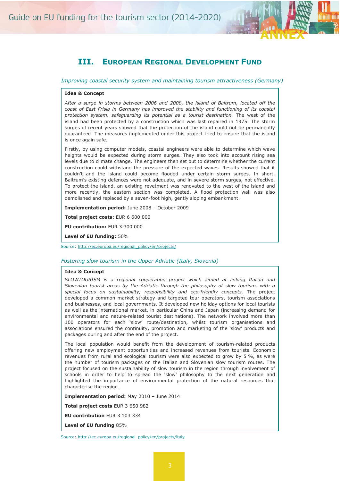

### **III. EUROPEAN REGIONAL DEVELOPMENT FUND**

<span id="page-6-0"></span>*Improving coastal security system and maintaining tourism attractiveness (Germany)*

#### **Idea & Concept**

*After a surge in storms between 2006 and 2008, the island of Baltrum, located off the coast of East Frisia in Germany has improved the stability and functioning of its coastal protection system, safeguarding its potential as a tourist destination.* The west of the island had been protected by a construction which was last repaired in 1975. The storm surges of recent years showed that the protection of the island could not be permanently guaranteed. The measures implemented under this project tried to ensure that the island is once again safe.

Firstly, by using computer models, coastal engineers were able to determine which wave heights would be expected during storm surges. They also took into account rising sea levels due to climate change. The engineers then set out to determine whether the current construction could withstand the pressure of the expected waves. Results showed that it couldn't and the island could become flooded under certain storm surges. In short, Baltrum's existing defences were not adequate, and in severe storm surges, not effective. To protect the island, an existing revetment was renovated to the west of the island and more recently, the eastern section was completed. A flood protection wall was also demolished and replaced by a seven-foot high, gently sloping embankment.

**Implementation period:** June 2008 – October 2009

**Total project costs:** EUR 6 600 000

**EU contribution:** EUR 3 300 000

**Level of EU funding:** 50%

Source: [http://ec.europa.eu/regional\\_policy/en/projects/](http://ec.europa.eu/regional_policy/en/projects/germany/protecting-baltrums-coast)

#### *Fostering slow tourism in the Upper Adriatic (Italy, Slovenia)*

#### **Idea & Concept**

*SLOWTOURISM is a regional cooperation project which aimed at linking Italian and Slovenian tourist areas by the Adriatic through the philosophy of slow tourism, with a special focus on sustainability, responsibility and eco-friendly concepts.* The project developed a common market strategy and targeted tour operators, tourism associations and businesses, and local governments. It developed new holiday options for local tourists as well as the international market, in particular China and Japan (increasing demand for environmental and nature-related tourist destinations). The network involved more than 100 operators for each 'slow' route/destination, whilst tourism organisations and associations ensured the continuity, promotion and marketing of the 'slow' products and packages during and after the end of the project.

The local population would benefit from the development of tourism-related products offering new employment opportunities and increased revenues from tourists. Economic revenues from rural and ecological tourism were also expected to grow by 5 %, as were the number of tourism packages on the Italian and Slovenian slow tourism routes. The project focused on the sustainability of slow tourism in the region through involvement of schools in order to help to spread the 'slow' philosophy to the next generation and highlighted the importance of environmental protection of the natural resources that characterise the region.

**Implementation period:** May 2010 – June 2014

**Total project costs** EUR 3 650 982

**EU contribution** EUR 3 103 334

**Level of EU funding** 85%

Source: [http://ec.europa.eu/regional\\_policy/en/projects/italy](http://ec.europa.eu/regional_policy/en/projects/italy/developing-slowtourism-between-italy-and-slovenia)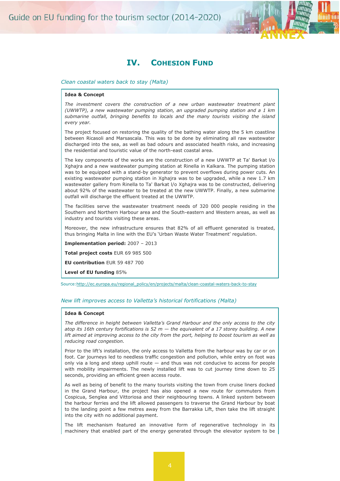

### **IV. COHESION FUND**

#### <span id="page-7-0"></span>*Clean coastal waters back to stay (Malta)*

#### **Idea & Concept**

*The investment covers the construction of a new urban wastewater treatment plant (UWWTP), a new wastewater pumping station, an upgraded pumping station and a 1 km submarine outfall, bringing benefits to locals and the many tourists visiting the island every year.*

The project focused on restoring the quality of the bathing water along the 5 km coastline between Ricasoli and Marsascala. This was to be done by eliminating all raw wastewater discharged into the sea, as well as bad odours and associated health risks, and increasing the residential and touristic value of the north-east coastal area.

The key components of the works are the construction of a new UWWTP at Ta' Barkat l/o Xghajra and a new wastewater pumping station at Rinella in Kalkara. The pumping station was to be equipped with a stand-by generator to prevent overflows during power cuts. An existing wastewater pumping station in Xghajra was to be upgraded, while a new 1.7 km wastewater gallery from Rinella to Ta' Barkat l/o Xghajra was to be constructed, delivering about 92% of the wastewater to be treated at the new UWWTP. Finally, a new submarine outfall will discharge the effluent treated at the UWWTP.

The facilities serve the wastewater treatment needs of 320 000 people residing in the Southern and Northern Harbour area and the South-eastern and Western areas, as well as industry and tourists visiting these areas.

Moreover, the new infrastructure ensures that 82% of all effluent generated is treated, thus bringing Malta in line with the EU's 'Urban Waste Water Treatment' regulation.

**Implementation period:** 2007 – 2013

**Total project costs** EUR 69 985 500

**EU contribution** EUR 59 487 700

**Level of EU funding** 85%

Source: http://ec.europa.eu/regional\_policy/en/projects/malta/clean-coastal-waters-back-to-stay

#### *New lift improves access to Valletta's historical fortifications (Malta)*

#### **Idea & Concept**

*The difference in height between Valletta's Grand Harbour and the only access to the city atop its 16th century fortifications is 52 m — the equivalent of a 17 storey building. A new lift aimed at improving access to the city from the port, helping to boost tourism as well as reducing road congestion.*

Prior to the lift's installation, the only access to Valletta from the harbour was by car or on foot. Car journeys led to needless traffic congestion and pollution, while entry on foot was only via a long and steep uphill route — and thus was not conducive to access for people with mobility impairments. The newly installed lift was to cut journey time down to 25 seconds, providing an efficient green access route.

As well as being of benefit to the many tourists visiting the town from cruise liners docked in the Grand Harbour, the project has also opened a new route for commuters from Cospicua, Senglea and Vittoriosa and their neighbouring towns. A linked system between the harbour ferries and the lift allowed passengers to traverse the Grand Harbour by boat to the landing point a few metres away from the Barrakka Lift, then take the lift straight into the city with no additional payment.

The lift mechanism featured an innovative form of regenerative technology in its machinery that enabled part of the energy generated through the elevator system to be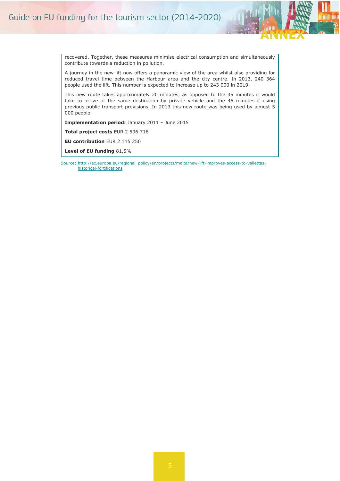

recovered. Together, these measures minimise electrical consumption and simultaneously contribute towards a reduction in pollution.

A journey in the new lift now offers a panoramic view of the area whilst also providing for reduced travel time between the Harbour area and the city centre. In 2013, 240 364 people used the lift. This number is expected to increase up to 243 000 in 2019.

This new route takes approximately 20 minutes, as opposed to the 35 minutes it would take to arrive at the same destination by private vehicle and the 45 minutes if using previous public transport provisions. In 2013 this new route was being used by almost 5 000 people.

**Implementation period:** January 2011 – June 2015

**Total project costs** EUR 2 596 716

**EU contribution** EUR 2 115 250

**Level of EU funding** 81,5%

Source: [http://ec.europa.eu/regional\\_policy/en/projects/malta/new-lift-improves-access-to-vallettas](http://ec.europa.eu/regional_policy/en/projects/malta/new-lift-improves-access-to-vallettas-historical-fortifications)[historical-fortifications](http://ec.europa.eu/regional_policy/en/projects/malta/new-lift-improves-access-to-vallettas-historical-fortifications)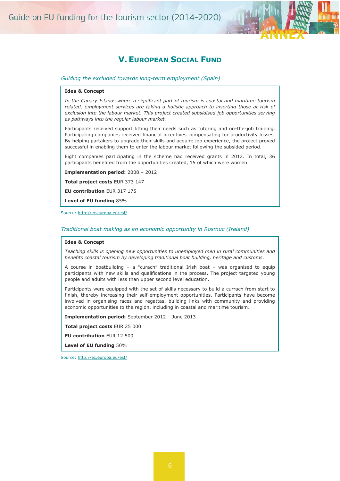



### **V.EUROPEAN SOCIAL FUND**

<span id="page-9-0"></span>*Guiding the excluded towards long-term employment (Spain)*

#### **Idea & Concept**

*In the Canary Islands,where a significant part of tourism is coastal and maritime tourism*  related, employment services are taking a holistic approach to inserting those at risk of *exclusion into the labour market. This project created subsidised job opportunities serving as pathways into the regular labour market.*

Participants received support fitting their needs such as tutoring and on-the-job training. Participating companies received financial incentives compensating for productivity losses. By helping partakers to upgrade their skills and acquire job experience, the project proved successful in enabling them to enter the labour market following the subsided period.

Eight companies participating in the scheme had received grants in 2012. In total, 36 participants benefited from the opportunities created, 15 of which were women.

**Implementation period:** 2008 – 2012

**Total project costs** EUR 373 147

**EU contribution** EUR 317 175

**Level of EU funding** 85%

#### Source: [http://ec.europa.eu/esf/](http://ec.europa.eu/esf/main.jsp?catId=46&langId=en&projectId=741)

#### *Traditional boat making as an economic opportunity in Rosmuc (Ireland)*

#### **Idea & Concept**

*Teaching skills is opening new opportunities to unemployed men in rural communities and benefits coastal tourism by developing traditional boat building, heritage and customs.*

A course in boatbuilding – a "curach" traditional Irish boat – was organised to equip participants with new skills and qualifications in the process. The project targeted young people and adults with less than upper second level education.

Participants were equipped with the set of skills necessary to build a currach from start to finish, thereby increasing their self-employment opportunities. Participants have become involved in organising races and regattas, building links with community and providing economic opportunities to the region, including in coastal and maritime tourism.

**Implementation period:** September 2012 – June 2013

**Total project costs** EUR 25 000

**EU contribution** EUR 12 500

**Level of EU funding** 50%

Source: [http://ec.europa.eu/esf/](http://ec.europa.eu/esf/main.jsp?catId=46&langId=en&projectId=449)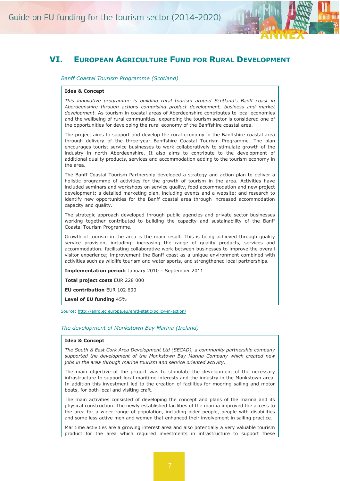

### <span id="page-10-0"></span>**VI. EUROPEAN AGRICULTURE FUND FOR RURAL DEVELOPMENT**

*Banff Coastal Tourism Programme (Scotland)*

#### **Idea & Concept**

*This innovative programme is building rural tourism around Scotland's Banff coast in Aberdeenshire through actions comprising product development, business and market development.* As tourism in coastal areas of Aberdeenshire contributes to local economies and the wellbeing of rural communities, expanding the tourism sector is considered one of the opportunities for developing the rural economy of the Banffshire coastal area.

The project aims to support and develop the rural economy in the Banffshire coastal area through delivery of the three-year Banffshire Coastal Tourism Programme. The plan encourages tourist service businesses to work collaboratively to stimulate growth of the industry in north Aberdeenshire. It also aims to contribute to the development of additional quality products, services and accommodation adding to the tourism economy in the area.

The Banff Coastal Tourism Partnership developed a strategy and action plan to deliver a holistic programme of activities for the growth of tourism in the area. Activities have included seminars and workshops on service quality, food accommodation and new project development; a detailed marketing plan, including events and a website; and research to identify new opportunities for the Banff coastal area through increased accommodation capacity and quality.

The strategic approach developed through public agencies and private sector businesses working together contributed to building the capacity and sustainability of the Banff Coastal Tourism Programme.

Growth of tourism in the area is the main result. This is being achieved through quality service provision, including: increasing the range of quality products, services and accommodation; facilitating collaborative work between businesses to improve the overall visitor experience; improvement the Banff coast as a unique environment combined with activities such as wildlife tourism and water sports, and strengthened local partnerships.

**Implementation period:** January 2010 – September 2011

**Total project costs** EUR 228 000

**EU contribution** EUR 102 600

**Level of EU funding** 45%

Source: [http://enrd.ec.europa.eu/enrd-static/policy-in-action/](http://enrd.ec.europa.eu/enrd-static/policy-in-action/rdp_view/en/view_project_4880_en.html)

#### *The development of Monkstown Bay Marina (Ireland)*

#### **Idea & Concept**

*The South & East Cork Area Development Ltd (SECAD), a community partnership company supported the development of the Monkstown Bay Marina Company which created new jobs in the area through marine tourism and service oriented activity.*

The main objective of the project was to stimulate the development of the necessary infrastructure to support local maritime interests and the industry in the Monkstown area. In addition this investment led to the creation of facilities for mooring sailing and motor boats, for both local and visiting craft.

The main activities consisted of developing the concept and plans of the marina and its physical construction. The newly established facilities of the marina improved the access to the area for a wider range of population, including older people, people with disabilities and some less active men and women that enhanced their involvement in sailing practice.

Maritime activities are a growing interest area and also potentially a very valuable tourism product for the area which required investments in infrastructure to support these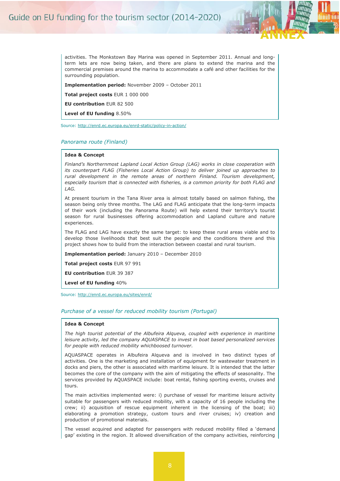

**ANNEX**

mail am

**Implementation period:** November 2009 – October 2011

**Total project costs** EUR 1 000 000

**EU contribution** EUR 82 500

**Level of EU funding** 8.50%

Source: [http://enrd.ec.europa.eu/enrd-static/policy-in-action/](http://enrd.ec.europa.eu/enrd-static/policy-in-action/rdp_view/en/view_project_5720_en.html)

#### *Panorama route (Finland)*

#### **Idea & Concept**

*Finland's Northernmost Lapland Local Action Group (LAG) works in close cooperation with its counterpart FLAG (Fisheries Local Action Group) to deliver joined up approaches to rural development in the remote areas of northern Finland. Tourism development, especially tourism that is connected with fisheries, is a common priority for both FLAG and LAG.*

At present tourism in the Tana River area is almost totally based on salmon fishing, the season being only three months. The LAG and FLAG anticipate that the long-term impacts of their work (including the Panorama Route) will help extend their territory's tourist season for rural businesses offering accommodation and Lapland culture and nature experiences.

The FLAG and LAG have exactly the same target: to keep these rural areas viable and to develop those livelihoods that best suit the people and the conditions there and this project shows how to build from the interaction between coastal and rural tourism.

**Implementation period:** January 2010 – December 2010

**Total project costs** EUR 97 991

**EU contribution** EUR 39 387

**Level of EU funding** 40%

Source: [http://enrd.ec.europa.eu/sites/enrd/](http://enrd.ec.europa.eu/enrd-static/policy-in-action/rdp_view/en/view_project_2580_en.html)

#### *Purchase of a vessel for reduced mobility tourism (Portugal)*

#### **Idea & Concept**

*The high tourist potential of the Albufeira Alqueva, coupled with experience in maritime leisure activity, led the company AQUASPACE to invest in boat based personalized services for people with reduced mobility whichboosed turnover.*

AQUASPACE operates in Albufeira Alqueva and is involved in two distinct types of activities. One is the marketing and installation of equipment for wastewater treatment in docks and piers, the other is associated with maritime leisure. It is intended that the latter becomes the core of the company with the aim of mitigating the effects of seasonality. The services provided by AQUASPACE include: boat rental, fishing sporting events, cruises and tours.

The main activities implemented were: i) purchase of vessel for maritime leisure activity suitable for passengers with reduced mobility, with a capacity of 16 people including the crew; ii) acquisition of rescue equipment inherent in the licensing of the boat; iii) elaborating a promotion strategy, custom tours and river cruises; iv) creation and production of promotional materials.

The vessel acquired and adapted for passengers with reduced mobility filled a 'demand gap' existing in the region. It allowed diversification of the company activities, reinforcing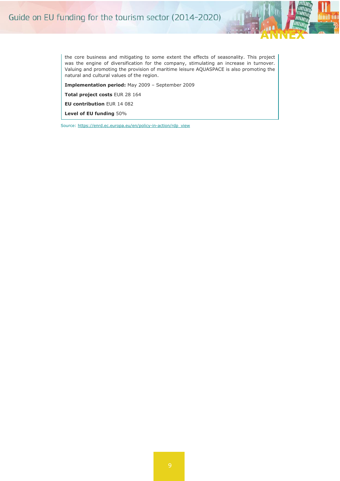

the core business and mitigating to some extent the effects of seasonality. This project was the engine of diversification for the company, stimulating an increase in turnover. Valuing and promoting the provision of maritime leisure AQUASPACE is also promoting the natural and cultural values of the region.

**Implementation period:** May 2009 – September 2009

**Total project costs** EUR 28 164

**EU contribution** EUR 14 082

**Level of EU funding** 50%

Source: [https://enrd.ec.europa.eu/en/policy-in-action/rdp\\_view](https://enrd.ec.europa.eu/en/policy-in-action/rdp_view/purchase-vessel-reduced-mobility-tourism)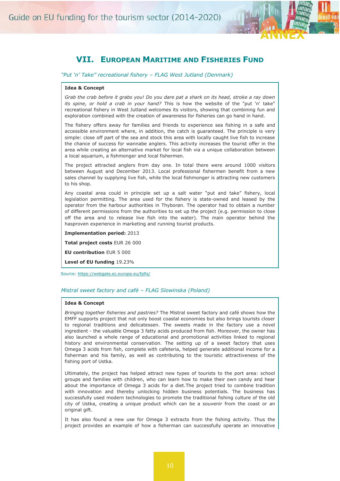

### **VII. EUROPEAN MARITIME AND FISHERIES FUND**

<span id="page-13-0"></span>*"Put 'n' Take" recreational fishery – FLAG West Jutland (Denmark)*

#### **Idea & Concept**

*Grab the crab before it grabs you! Do you dare pat a shark on its head, stroke a ray down its spine, or hold a crab in your hand?* This is how the website of the "put 'n' take" recreational fishery in West Jutland welcomes its visitors, showing that combining fun and exploration combined with the creation of awareness for fisheries can go hand in hand.

The fishery offers away for families and friends to experience sea fishing in a safe and accessible environment where, in addition, the catch is guaranteed. The principle is very simple: close off part of the sea and stock this area with locally caught live fish to increase the chance of success for wannabe anglers. This activity increases the tourist offer in the area while creating an alternative market for local fish via a unique collaboration between a local aquarium, a fishmonger and local fishermen.

The project attracted anglers from day one. In total there were around 1000 visitors between August and December 2013. Local professional fishermen benefit from a new sales channel by supplying live fish, while the local fishmonger is attracting new customers to his shop.

Any coastal area could in principle set up a salt water "put and take" fishery, local legislation permitting. The area used for the fishery is state-owned and leased by the operator from the harbour authorities in Thyborøn. The operator had to obtain a number of different permissions from the authorities to set up the project (e.g. permission to close off the area and to release live fish into the water). The main operator behind the hasproven experience in marketing and running tourist products.

**Implementation period:** 2013

**Total project costs** EUR 26 000

**EU contribution** EUR 5 000

**Level of EU funding** 19.23%

Source: [https://webgate.ec.europa.eu/fpfis/](https://webgate.ec.europa.eu/fpfis/cms/farnet/%E2%80%9Cput-%E2%80%98n%E2%80%99-take%E2%80%9D-recreational-fishery-flag-west-jutland-dk)

#### *Mistral sweet factory and café – FLAG Slowinska (Poland)*

#### **Idea & Concept**

*Bringing together fisheries and pastries?* The Mistral sweet factory and café shows how the EMFF supports project that not only boost coastal economies but also brings tourists closer to regional traditions and delicatessen. The sweets made in the factory use a novel ingredient - the valuable Omega 3 fatty acids produced from fish. Moreover, the owner has also launched a whole range of educational and promotional activities linked to regional history and environmental conservation. The setting up of a sweet factory that uses Omega 3 acids from fish, complete with cafeteria, helped generate additional income for a fisherman and his family, as well as contributing to the touristic attractiveness of the fishing port of Ustka.

Ultimately, the project has helped attract new types of tourists to the port area: school groups and families with children, who can learn how to make their own candy and hear about the importance of Omega 3 acids for a diet.The project tried to combine tradition with innovation and thereby unlocking hidden business potentials. The business has successfully used modern technologies to promote the traditional fishing culture of the old city of Ustka, creating a unique product which can be a souvenir from the coast or an original gift.

It has also found a new use for Omega 3 extracts from the fishing activity. Thus the project provides an example of how a fisherman can successfully operate an innovative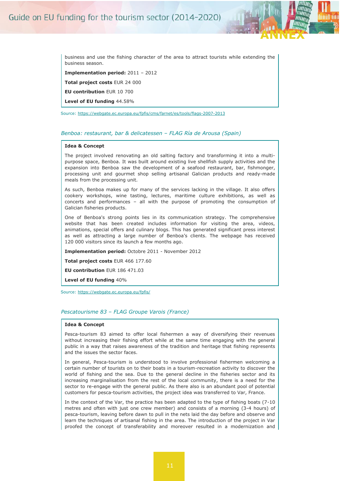

**ANNEX**

mail am

**Implementation period:** 2011 – 2012

**Total project costs** EUR 24 000

**EU contribution** EUR 10 700

**Level of EU funding** 44.58%

Source: [https://webgate.ec.europa.eu/fpfis/cms/farnet/es/tools/flags-2007-2013](https://webgate.ec.europa.eu/fpfis/cms/farnet/es/mistral-sweet-factory-caf%C3%A9-flag-slowinska-pl)

#### *Benboa: restaurant, bar & delicatessen – FLAG Ría de Arousa (Spain)*

#### **Idea & Concept**

The project involved renovating an old salting factory and transforming it into a multipurpose space, Benboa. It was built around existing live shellfish supply activities and the expansion into Benboa saw the development of a seafood restaurant, bar, fishmonger, processing unit and gourmet shop selling artisanal Galician products and ready-made meals from the processing unit.

As such, Benboa makes up for many of the services lacking in the village. It also offers cookery workshops, wine tasting, lectures, maritime culture exhibitions, as well as concerts and performances – all with the purpose of promoting the consumption of Galician fisheries products.

One of Benboa's strong points lies in its communication strategy. The comprehensive website that has been created includes information for visiting the area, videos, animations, special offers and culinary blogs. This has generated significant press interest as well as attracting a large number of Benboa's clients. The webpage has received 120 000 visitors since its launch a few months ago.

**Implementation period:** Octobre 2011 - November 2012

**Total project costs** EUR 466 177.60

**EU contribution** EUR 186 471.03

**Level of EU funding** 40%

Source: [https://webgate.ec.europa.eu/fpfis/](https://webgate.ec.europa.eu/fpfis/cms/farnet/benboa-restaurant-bar-delicatessen-flag-r%C3%AD-de-arousa-es)

#### *Pescatourisme 83 – FLAG Groupe Varois (France)*

#### **Idea & Concept**

Pesca-tourism 83 aimed to offer local fishermen a way of diversifying their revenues without increasing their fishing effort while at the same time engaging with the general public in a way that raises awareness of the tradition and heritage that fishing represents and the issues the sector faces.

In general, Pesca-tourism is understood to involve professional fishermen welcoming a certain number of tourists on to their boats in a tourism-recreation activity to discover the world of fishing and the sea. Due to the general decline in the fisheries sector and its increasing marginalisation from the rest of the local community, there is a need for the sector to re-engage with the general public. As there also is an abundant pool of potential customers for pesca-tourism activities, the project idea was transferred to Var, France.

In the context of the Var, the practice has been adapted to the type of fishing boats (7-10 metres and often with just one crew member) and consists of a morning (3-4 hours) of pesca-tourism, leaving before dawn to pull in the nets laid the day before and observe and learn the techniques of artisanal fishing in the area. The introduction of the project in Var proofed the concept of transferability and moreover resulted in a modernization and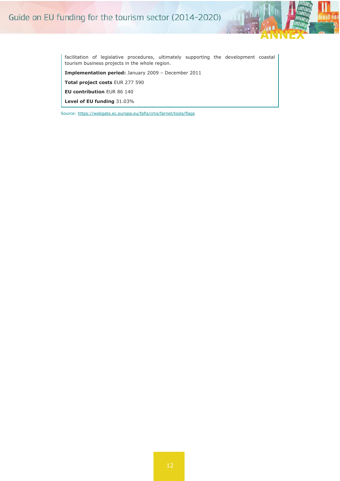

facilitation of legislative procedures, ultimately supporting the development coastal tourism business projects in the whole region.

**Implementation period:** January 2009 – December 2011

**Total project costs** EUR 277 590

**EU contribution** EUR 86 140

**Level of EU funding** 31.03%

Source: [https://webgate.ec.europa.eu/fpfis/cms/farnet/tools/flags](https://webgate.ec.europa.eu/fpfis/cms/farnet/pescatoursime-83-flag-groupe-varois-fr%20/)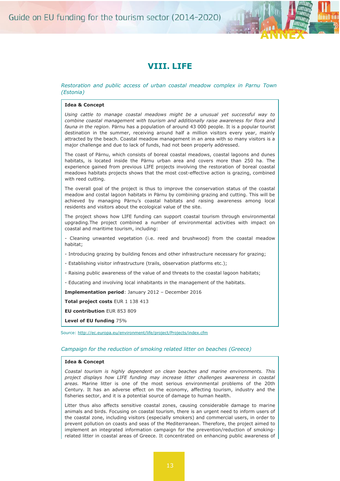

### **VIII. LIFE**

#### <span id="page-16-0"></span>*Restoration and public access of urban coastal meadow complex in Parnu Town (Estonia)*

#### **Idea & Concept**

*Using cattle to manage coastal meadows might be a unusual yet successful way to combine coastal management with tourism and additionally raise awareness for flora and fauna in the region*. Pärnu has a population of around 43 000 people. It is a popular tourist destination in the summer, receiving around half a million visitors every year, mainly attracted by the beach. Coastal meadow management in an area with so many visitors is a major challenge and due to lack of funds, had not been properly addressed.

The coast of Pärnu, which consists of boreal coastal meadows, coastal lagoons and dunes habitats, is located inside the Pärnu urban area and covers more than 250 ha. The experience gained from previous LIFE projects involving the restoration of boreal coastal meadows habitats projects shows that the most cost-effective action is grazing, combined with reed cutting.

The overall goal of the project is thus to improve the conservation status of the coastal meadow and costal lagoon habitats in Pärnu by combining grazing and cutting. This will be achieved by managing Pärnu's coastal habitats and raising awareness among local residents and visitors about the ecological value of the site.

The project shows how LIFE funding can support coastal tourism through environmental upgrading.The project combined a number of environmental activities with impact on coastal and maritime tourism, including:

- Cleaning unwanted vegetation (i.e. reed and brushwood) from the coastal meadow habitat;

- Introducing grazing by building fences and other infrastructure necessary for grazing;
- Establishing visitor infrastructure (trails, observation platforms etc.);
- Raising public awareness of the value of and threats to the coastal lagoon habitats;
- Educating and involving local inhabitants in the management of the habitats.

**Implementation period**: January 2012 – December 2016

**Total project costs** EUR 1 138 413

**EU contribution** EUR 853 809

**Level of EU funding** 75%

Source: [http://ec.europa.eu/environment/life/project/Projects/index.cfm](http://ec.europa.eu/environment/life/project/Projects/index.cfm?fuseaction=search.dspPage&n_proj_id=4076)

#### *Campaign for the reduction of smoking related litter on beaches (Greece)*

#### **Idea & Concept**

*Coastal tourism is highly dependent on clean beaches and marine environments. This project displays how LIFE funding may increase litter challenges awareness in coastal areas.* Marine litter is one of the most serious environmental problems of the 20th Century. It has an adverse effect on the economy, affecting tourism, industry and the fisheries sector, and it is a potential source of damage to human health.

Litter thus also affects sensitive coastal zones, causing considerable damage to marine animals and birds. Focusing on coastal tourism, there is an urgent need to inform users of the coastal zone, including visitors (especially smokers) and commercial users, in order to prevent pollution on coasts and seas of the Mediterranean. Therefore, the project aimed to implement an integrated information campaign for the prevention/reduction of smokingrelated litter in coastal areas of Greece. It concentrated on enhancing public awareness of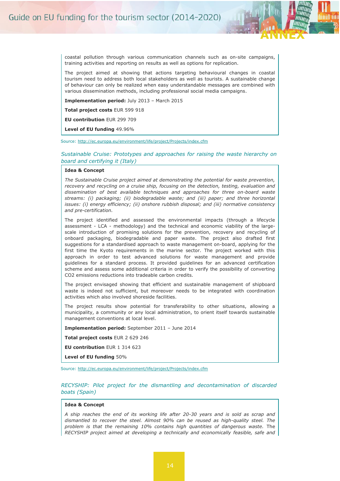

mail am

coastal pollution through various communication channels such as on-site campaigns, training activities and reporting on results as well as options for replication.

The project aimed at showing that actions targeting behavioural changes in coastal tourism need to address both local stakeholders as well as tourists. A sustainable change of behaviour can only be realized when easy understandable messages are combined with various dissemination methods, including professional social media campaigns.

**Implementation period:** July 2013 – March 2015

**Total project costs** EUR 599 918

**EU contribution** EUR 299 709

**Level of EU funding** 49.96%

Source: [http://ec.europa.eu/environment/life/project/Projects/index.cfm](http://ec.europa.eu/environment/life/project/Projects/index.cfm?fuseaction=search.dspPage&n_proj_id=4722)

*Sustainable Cruise: Prototypes and approaches for raising the waste hierarchy on board and certifying it (Italy)*

#### **Idea & Concept**

*The Sustainable Cruise project aimed at demonstrating the potential for waste prevention, recovery and recycling on a cruise ship, focusing on the detection, testing, evaluation and dissemination of best available techniques and approaches for three on-board waste streams: (i) packaging; (ii) biodegradable waste; and (iii) paper; and three horizontal issues: (i) energy efficiency; (ii) onshore rubbish disposal; and (iii) normative consistency and pre-certification.*

The project identified and assessed the environmental impacts (through a lifecycle assessment - LCA - methodology) and the technical and economic viability of the largescale introduction of promising solutions for the prevention, recovery and recycling of onboard packaging, biodegradable and paper waste. The project also drafted first suggestions for a standardised approach to waste management on-board, applying for the first time the Kyoto requirements in the marine sector. The project worked with this approach in order to test advanced solutions for waste management and provide guidelines for a standard process. It provided guidelines for an advanced certification scheme and assess some additional criteria in order to verify the possibility of converting CO2 emissions reductions into tradeable carbon credits.

The project envisaged showing that efficient and sustainable management of shipboard waste is indeed not sufficient, but moreover needs to be integrated with coordination activities which also involved shoreside facilities.

The project results show potential for transferability to other situations, allowing a municipality, a community or any local administration, to orient itself towards sustainable management conventions at local level.

**Implementation period:** September 2011 – June 2014

**Total project costs** EUR 2 629 246

**EU contribution** EUR 1 314 623

**Level of EU funding** 50%

Source: [http://ec.europa.eu/environment/life/project/Projects/index.cfm](http://ec.europa.eu/environment/life/project/Projects/index.cfm?fuseaction=search.dspPage&n_proj_id=3933)

#### *RECYSHIP: Pilot project for the dismantling and decontamination of discarded boats (Spain)*

#### **Idea & Concept**

*A ship reaches the end of its working life after 20-30 years and is sold as scrap and dismantled to recover the steel. Almost 90% can be reused as high-quality steel. The problem is that the remaining 10% contains high quantities of dangerous waste.* The *RECYSHIP project aimed at developing a technically and economically feasible, safe and*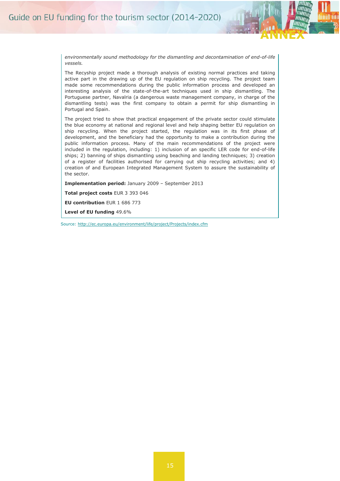

*environmentally sound methodology for the dismantling and decontamination of end-of-life vessels.*

The Recyship project made a thorough analysis of existing normal practices and taking active part in the drawing up of the EU regulation on ship recycling. The project team made some recommendations during the public information process and developed an interesting analysis of the state-of-the-art techniques used in ship dismantling. The Portuguese partner, Navalria (a dangerous waste management company, in charge of the dismantling tests) was the first company to obtain a permit for ship dismantling in Portugal and Spain.

The project tried to show that practical engagement of the private sector could stimulate the blue economy at national and regional level and help shaping better EU regulation on ship recycling. When the project started, the regulation was in its first phase of development, and the beneficiary had the opportunity to make a contribution during the public information process. Many of the main recommendations of the project were included in the regulation, including: 1) inclusion of an specific LER code for end-of-life ships; 2) banning of ships dismantling using beaching and landing techniques; 3) creation of a register of facilities authorised for carrying out ship recycling activities; and 4) creation of and European Integrated Management System to assure the sustainability of the sector.

**Implementation period:** January 2009 – September 2013

**Total project costs** EUR 3 393 046

**EU contribution** EUR 1 686 773

**Level of EU funding** 49.6%

Source: [http://ec.europa.eu/environment/life/project/Projects/index.cfm](http://ec.europa.eu/environment/life/project/Projects/index.cfm?fuseaction=search.dspPage&n_proj_id=3241)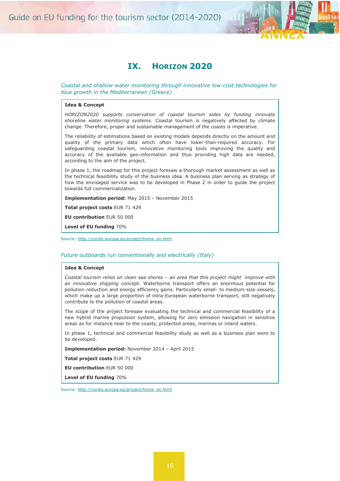

### **IX. HORIZON 2020**

<span id="page-19-0"></span>*Coastal and shallow-water monitoring through innovative low-cost technologies for blue growth in the Mediterranean (Greece)*

#### **Idea & Concept**

*HORIZON2020 supports conservation of coastal tourism sides by funding innovate shoreline water monitoring systems.* Coastal tourism is negatively affected by climate change. Therefore, proper and sustainable management of the coasts is imperative.

The reliability of estimations based on existing models depends directly on the amount and quality of the primary data which often have lower-than-required accuracy. For safeguarding coastal tourism, innovative monitoring tools improving the quality and accuracy of the available geo-information and thus providing high data are needed, according to the aim of the project.

In phase 1, the roadmap for this project foresaw a thorough market assessment as well as the technical feasibility study of the business idea. A business plan serving as strategy of how the envisaged service was to be developed in Phase 2 in order to guide the project towards full commercialization.

**Implementation period:** May 2015 – November 2015

**Total project costs** EUR 71 429

**EU contribution** EUR 50 000

**Level of EU funding** 70%

Source: [http://cordis.europa.eu/project/home\\_en.html](http://cordis.europa.eu/project/rcn/196423_en.html)

#### *Future outboards run conventionally and electrically (Italy)*

#### **Idea & Concept**

*Coastal tourism relies on clean sea shores – an area that this project might improve with an innovative shipping concept.* Waterborne transport offers an enormous potential for pollution reduction and energy efficiency gains. Particularly small- to medium-size vessels, which make up a large proportion of intra-European waterborne transport, still negatively contribute to the pollution of coastal areas.

The scope of the project foresaw evaluating the technical and commercial feasibility of a new hybrid marine propulsion system, allowing for zero emission navigation in sensitive areas as for instance near to the coasts, protected areas, marinas or inland waters.

In phase 1, technical and commercial feasibility study as well as a business plan were to be developed.

**Implementation period:** November 2014 – April 2015

**Total project costs** EUR 71 429

**EU contribution** EUR 50 000

**Level of EU funding** 70%

Source: [http://cordis.europa.eu/project/home\\_en.html](http://cordis.europa.eu/project/rcn/194662_en.html)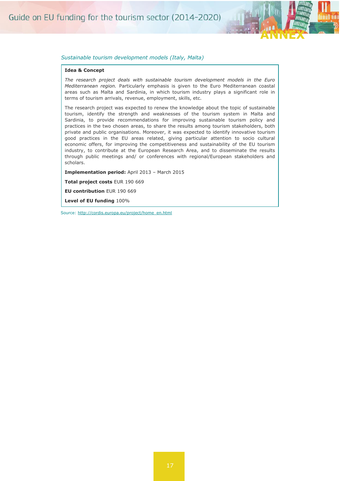

#### *Sustainable tourism development models (Italy, Malta)*

#### **Idea & Concept**

*The research project deals with sustainable tourism development models in the Euro Mediterranean region.* Particularly emphasis is given to the Euro Mediterranean coastal areas such as Malta and Sardinia, in which tourism industry plays a significant role in terms of tourism arrivals, revenue, employment, skills, etc.

The research project was expected to renew the knowledge about the topic of sustainable tourism, identify the strength and weaknesses of the tourism system in Malta and Sardinia, to provide recommendations for improving sustainable tourism policy and practices in the two chosen areas, to share the results among tourism stakeholders, both private and public organisations. Moreover, it was expected to identify innovative tourism good practices in the EU areas related, giving particular attention to socio cultural economic offers, for improving the competitiveness and sustainability of the EU tourism industry, to contribute at the European Research Area, and to disseminate the results through public meetings and/ or conferences with regional/European stakeholders and scholars.

**Implementation period:** April 2013 – March 2015

**Total project costs** EUR 190 669

**EU contribution** EUR 190 669

**Level of EU funding** 100%

Source: [http://cordis.europa.eu/project/home\\_en.html](http://cordis.europa.eu/project/rcn/108182_en.html)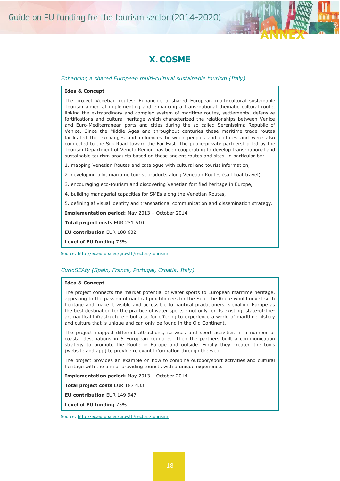

### **X. COSME**

#### <span id="page-21-0"></span>*Enhancing a shared European multi-cultural sustainable tourism (Italy)*

#### **Idea & Concept**

The project Venetian routes: Enhancing a shared European multi-cultural sustainable Tourism aimed at implementing and enhancing a trans-national thematic cultural route, linking the extraordinary and complex system of maritime routes, settlements, defensive fortifications and cultural heritage which characterized the relationships between Venice and Euro-Mediterranean ports and cities during the so called Serenissima Republic of Venice. Since the Middle Ages and throughout centuries these maritime trade routes facilitated the exchanges and influences between peoples and cultures and were also connected to the Silk Road toward the Far East. The public-private partnership led by the Tourism Department of Veneto Region has been cooperating to develop trans-national and sustainable tourism products based on these ancient routes and sites, in particular by:

- 1. mapping Venetian Routes and catalogue with cultural and tourist information,
- 2. developing pilot maritime tourist products along Venetian Routes (sail boat travel)
- 3. encouraging eco-tourism and discovering Venetian fortified heritage in Europe,
- 4. building managerial capacities for SMEs along the Venetian Routes,
- 5. defining af visual identity and transnational communication and dissemination strategy.

**Implementation period:** May 2013 – October 2014

**Total project costs** EUR 251 510

**EU contribution** EUR 188 632

**Level of EU funding** 75%

Source: [http://ec.europa.eu/growth/sectors/tourism/](http://ec.europa.eu/growth/sectors/tourism/offer/sustainable/transnational-products/index_en.htm)

#### *CurioSEAty (Spain, France, Portugal, Croatia, Italy)*

#### **Idea & Concept**

The project connects the market potential of water sports to European maritime heritage, appealing to the passion of nautical practitioners for the Sea. The Route would unveil such heritage and make it visible and accessible to nautical practitioners, signalling Europe as the best destination for the practice of water sports - not only for its existing, state-of-theart nautical infrastructure - but also for offering to experience a world of maritime history and culture that is unique and can only be found in the Old Continent.

The project mapped different attractions, services and sport activities in a number of coastal destinations in 5 European countries. Then the partners built a communication strategy to promote the Route in Europe and outside. Finally they created the tools (website and app) to provide relevant information through the web.

The project provides an example on how to combine outdoor/sport activities and cultural heritage with the aim of providing tourists with a unique experience.

**Implementation period:** May 2013 – October 2014

**Total project costs** EUR 187 433

**EU contribution** EUR 149 947

**Level of EU funding** 75%

Source: [http://ec.europa.eu/growth/sectors/tourism/](http://ec.europa.eu/DocsRoom/documents/6786?locale=en)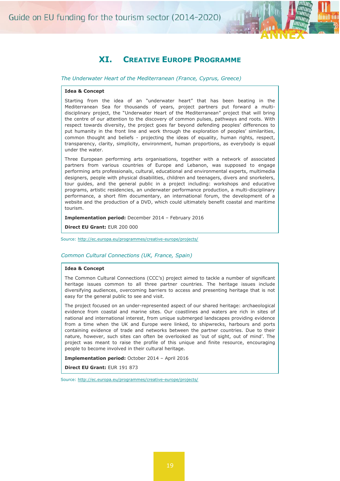

### **XI. CREATIVE EUROPE PROGRAMME**

<span id="page-22-0"></span>*The Underwater Heart of the Mediterranean (France, Cyprus, Greece)*

#### **Idea & Concept**

Starting from the idea of an "underwater heart" that has been beating in the Mediterranean Sea for thousands of years, project partners put forward a multidisciplinary project, the "Underwater Heart of the Mediterranean" project that will bring the centre of our attention to the discovery of common pulses, pathways and roots. With respect towards diversity, the project goes far beyond defending peoples' differences to put humanity in the front line and work through the exploration of peoples' similarities, common thought and beliefs - projecting the ideas of equality, human rights, respect, transparency, clarity, simplicity, environment, human proportions, as everybody is equal under the water.

Three European performing arts organisations, together with a network of associated partners from various countries of Europe and Lebanon, was supposed to engage performing arts professionals, cultural, educational and environmental experts, multimedia designers, people with physical disabilities, children and teenagers, divers and snorkelers, tour guides, and the general public in a project including: workshops and educative programs, artistic residencies, an underwater performance production, a multi-disciplinary performance, a short film documentary, an international forum, the development of a website and the production of a DVD, which could ultimately benefit coastal and maritime tourism.

**Implementation period:** December 2014 – February 2016

**Direct EU Grant:** EUR 200 000

Source: [http://ec.europa.eu/programmes/creative-europe/projects/](http://ec.europa.eu/programmes/creative-europe/projects/ce-project-details-page/?nodeRef=workspace://SpacesStore/5937a861-1ef0-4ba6-b4f7-bf6c66db3095)

#### *Common Cultural Connections (UK, France, Spain)*

#### **Idea & Concept**

The Common Cultural Connections (CCC's) project aimed to tackle a number of significant heritage issues common to all three partner countries. The heritage issues include diversifying audiences, overcoming barriers to access and presenting heritage that is not easy for the general public to see and visit.

The project focused on an under-represented aspect of our shared heritage: archaeological evidence from coastal and marine sites. Our coastlines and waters are rich in sites of national and international interest, from unique submerged landscapes providing evidence from a time when the UK and Europe were linked, to shipwrecks, harbours and ports containing evidence of trade and networks between the partner countries. Due to their nature, however, such sites can often be overlooked as 'out of sight, out of mind'. The project was meant to raise the profile of this unique and finite resource, encouraging people to become involved in their cultural heritage.

**Implementation period:** October 2014 – April 2016

**Direct EU Grant:** EUR 191 873

Source: [http://ec.europa.eu/programmes/creative-europe/projects/](http://www.creativeeuropeuk.eu/funded-projects/common-cultural-connections-0)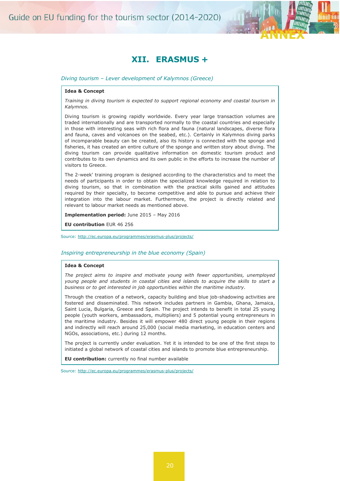

### **XII. ERASMUS +**

<span id="page-23-0"></span>*Diving tourism – Lever development of Kalymnos (Greece)*

#### **Idea & Concept**

*Training in diving tourism is expected to support regional economy and coastal tourism in Kalymnos.*

Diving tourism is growing rapidly worldwide. Every year large transaction volumes are traded internationally and are transported normally to the coastal countries and especially in those with interesting seas with rich flora and fauna (natural landscapes, diverse flora and fauna, caves and volcanoes on the seabed, etc.). Certainly in Kalymnos diving parks of incomparable beauty can be created, also its history is connected with the sponge and fisheries, it has created an entire culture of the sponge and written story about diving. The diving tourism can provide qualitative information on domestic tourism product and contributes to its own dynamics and its own public in the efforts to increase the number of visitors to Greece.

The 2-week' training program is designed according to the characteristics and to meet the needs of participants in order to obtain the specialized knowledge required in relation to diving tourism, so that in combination with the practical skills gained and attitudes required by their specialty, to become competitive and able to pursue and achieve their integration into the labour market. Furthermore, the project is directly related and relevant to labour market needs as mentioned above.

**Implementation period:** June 2015 – May 2016

**EU contribution** EUR 46 256

Source: [http://ec.europa.eu/programmes/erasmus-plus/projects/](http://ec.europa.eu/programmes/erasmus-plus/projects/eplus-project-details-page/?nodeRef=workspace://SpacesStore/b3431751-7d15-4841-82c3-6277685c51be)

#### *Inspiring entrepreneurship in the blue economy (Spain)*

#### **Idea & Concept**

*The project aims to inspire and motivate young with fewer opportunities, unemployed young people and students in coastal cities and islands to acquire the skills to start a business or to get interested in job opportunities within the maritime industry.*

Through the creation of a network, capacity building and blue job-shadowing activities are fostered and disseminated. This network includes partners in Gambia, Ghana, Jamaica, Saint Lucia, Bulgaria, Greece and Spain. The project intends to benefit in total 25 young people (youth workers, ambassadors, multipliers) and 5 potential young entrepreneurs in the maritime industry. Besides it will empower 480 direct young people in their regions and indirectly will reach around 25,000 (social media marketing, in education centers and NGOs, associations, etc.) during 12 months.

The project is currently under evaluation. Yet it is intended to be one of the first steps to initiated a global network of coastal cities and islands to promote blue entrepreneurship.

**EU contribution:** currently no final number available

Source:<http://ec.europa.eu/programmes/erasmus-plus/projects/>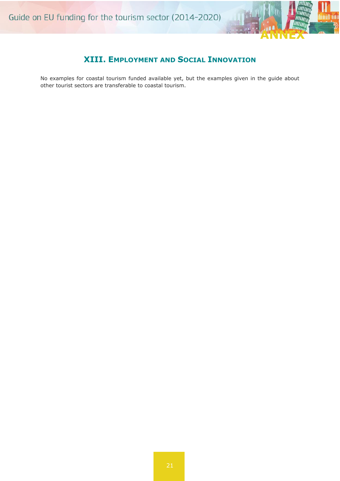

### **XIII. EMPLOYMENT AND SOCIAL INNOVATION**

<span id="page-24-0"></span>No examples for coastal tourism funded available yet, but the examples given in the guide about other tourist sectors are transferable to coastal tourism.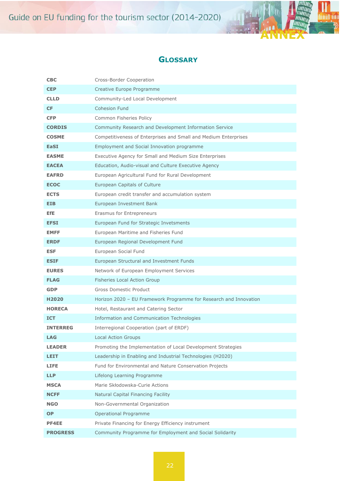

### **GLOSSARY**

<span id="page-25-0"></span>

| <b>CBC</b>        | Cross-Border Cooperation                                          |
|-------------------|-------------------------------------------------------------------|
| <b>CEP</b>        | Creative Europe Programme                                         |
| <b>CLLD</b>       | Community-Led Local Development                                   |
| <b>CF</b>         | <b>Cohesion Fund</b>                                              |
| <b>CFP</b>        | Common Fisheries Policy                                           |
| <b>CORDIS</b>     | Community Research and Development Information Service            |
| <b>COSME</b>      | Competitiveness of Enterprises and Small and Medium Enterprises   |
| <b>EaSI</b>       | Employment and Social Innovation programme                        |
| <b>EASME</b>      | Executive Agency for Small and Medium Size Enterprises            |
| <b>EACEA</b>      | Education, Audio-visual and Culture Executive Agency              |
| <b>EAFRD</b>      | European Agricultural Fund for Rural Development                  |
| <b>ECOC</b>       | European Capitals of Culture                                      |
| <b>ECTS</b>       | European credit transfer and accumulation system                  |
| EIB.              | European Investment Bank                                          |
| EfE               | Erasmus for Entrepreneurs                                         |
| <b>EFSI</b>       | European Fund for Strategic Invetsments                           |
| <b>EMFF</b>       | European Maritime and Fisheries Fund                              |
| <b>ERDF</b>       | European Regional Development Fund                                |
| <b>ESF</b>        | European Social Fund                                              |
| <b>ESIF</b>       | European Structural and Investment Funds                          |
| <b>EURES</b>      | Network of European Employment Services                           |
| <b>FLAG</b>       | <b>Fisheries Local Action Group</b>                               |
| <b>GDP</b>        | <b>Gross Domestic Product</b>                                     |
| H <sub>2020</sub> | Horizon 2020 - EU Framework Programme for Research and Innovation |
| <b>HORECA</b>     | Hotel, Restaurant and Catering Sector                             |
| <b>ICT</b>        | Information and Communication Technologies                        |
| <b>INTERREG</b>   | Interregional Cooperation (part of ERDF)                          |
| LAG               | <b>Local Action Groups</b>                                        |
| <b>LEADER</b>     | Promoting the Implementation of Local Development Strategies      |
| <b>LEIT</b>       | Leadership in Enabling and Industrial Technologies (H2020)        |
| LIFE.             | Fund for Environmental and Nature Conservation Projects           |
| <b>LLP</b>        | Lifelong Learning Programme                                       |
| <b>MSCA</b>       | Marie Skłodowska-Curie Actions                                    |
| <b>NCFF</b>       | Natural Capital Financing Facility                                |
| <b>NGO</b>        | Non-Governmental Organization                                     |
| <b>OP</b>         | Operational Programme                                             |
| <b>PF4EE</b>      | Private Financing for Energy Efficiency instrument                |
| <b>PROGRESS</b>   | Community Programme for Employment and Social Solidarity          |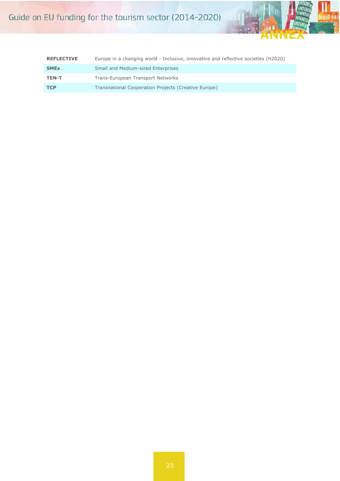

| <b>REFLECTIVE</b> | Europe in a changing world - Inclusive, innovative and reflective societies (H2020) |
|-------------------|-------------------------------------------------------------------------------------|
| <b>SMEs</b>       | Small and Medium-sized Enterprises                                                  |
| <b>TEN-T</b>      | Trans-European Transport Networks                                                   |
| <b>TCP</b>        | Transnational Cooperation Projects (Creative Europe)                                |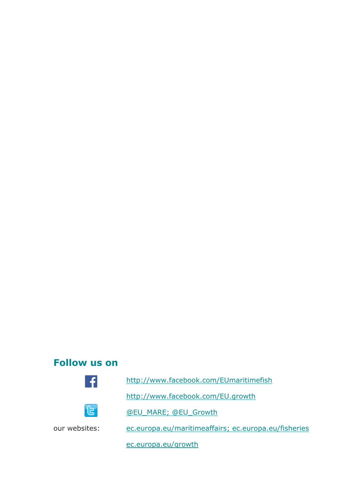# **Follow us on**





<http://www.facebook.com/EUmaritimefish>

<http://www.facebook.com/EU.growth>

[@EU\\_MARE; @EU\\_Growth](http://twitter.com/EU_growth)

our websites: [ec.europa.eu/maritimeaffairs;](http://ec.europa.eu/maritimeaffairs/index_en.htm) [ec.europa.eu/fisheries](http://ec.europa.eu/fisheries/index_en.htm)

[ec.europa.eu/growth](http://ec.europa.eu/growth/index_en.htm)